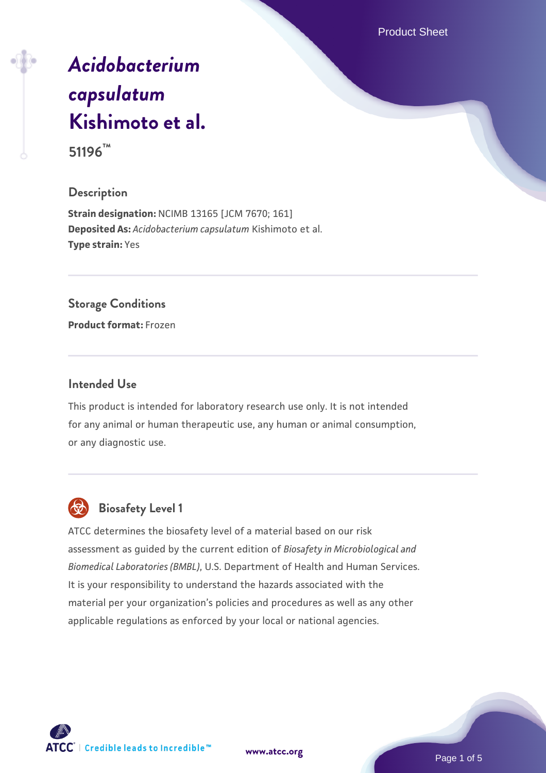Product Sheet

# *[Acidobacterium](https://www.atcc.org/products/51196) [capsulatum](https://www.atcc.org/products/51196)* **[Kishimoto et al.](https://www.atcc.org/products/51196) 51196™**

# **Description**

**Strain designation:** NCIMB 13165 [JCM 7670; 161] **Deposited As:** *Acidobacterium capsulatum* Kishimoto et al. **Type strain:** Yes

#### **Storage Conditions**

**Product format:** Frozen

#### **Intended Use**

This product is intended for laboratory research use only. It is not intended for any animal or human therapeutic use, any human or animal consumption, or any diagnostic use.



# **Biosafety Level 1**

ATCC determines the biosafety level of a material based on our risk assessment as guided by the current edition of *Biosafety in Microbiological and Biomedical Laboratories (BMBL)*, U.S. Department of Health and Human Services. It is your responsibility to understand the hazards associated with the material per your organization's policies and procedures as well as any other applicable regulations as enforced by your local or national agencies.

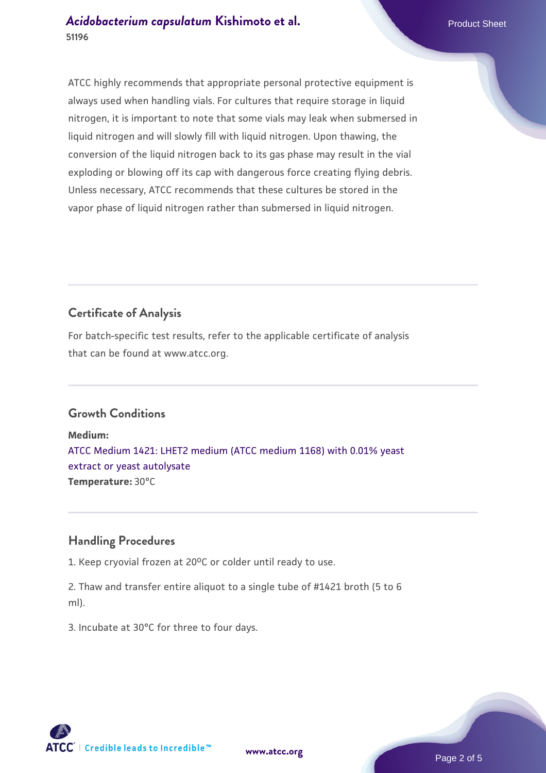ATCC highly recommends that appropriate personal protective equipment is always used when handling vials. For cultures that require storage in liquid nitrogen, it is important to note that some vials may leak when submersed in liquid nitrogen and will slowly fill with liquid nitrogen. Upon thawing, the conversion of the liquid nitrogen back to its gas phase may result in the vial exploding or blowing off its cap with dangerous force creating flying debris. Unless necessary, ATCC recommends that these cultures be stored in the vapor phase of liquid nitrogen rather than submersed in liquid nitrogen.

# **Certificate of Analysis**

For batch-specific test results, refer to the applicable certificate of analysis that can be found at www.atcc.org.

# **Growth Conditions**

**Medium:**  [ATCC Medium 1421: LHET2 medium \(ATCC medium 1168\) with 0.01% yeast](https://www.atcc.org/-/media/product-assets/documents/microbial-media-formulations/atcc-medium-1421.pdf?rev=9e15a8f38ab94b24a33bbe104456f2c8) [extract or yeast autolysate](https://www.atcc.org/-/media/product-assets/documents/microbial-media-formulations/atcc-medium-1421.pdf?rev=9e15a8f38ab94b24a33bbe104456f2c8) **Temperature:** 30°C

# **Handling Procedures**

1. Keep cryovial frozen at  $20^{\circ}$ C or colder until ready to use.

2. Thaw and transfer entire aliquot to a single tube of #1421 broth (5 to 6 ml).

3. Incubate at 30°C for three to four days.



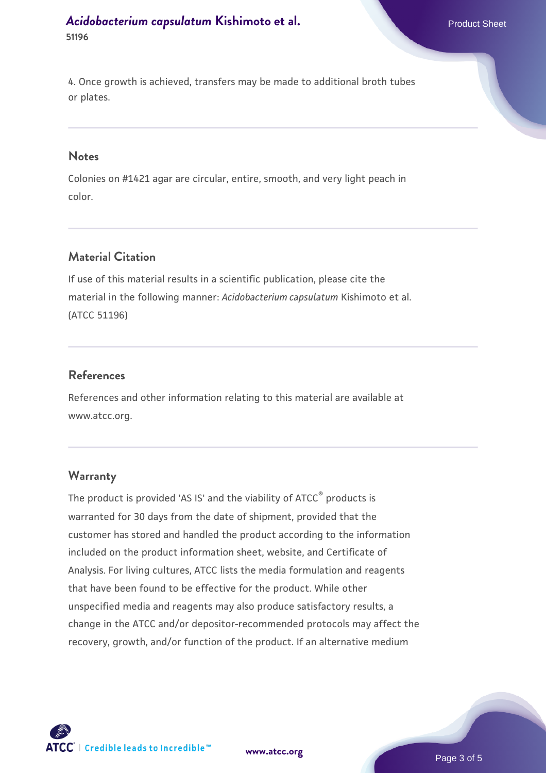4. Once growth is achieved, transfers may be made to additional broth tubes or plates.

#### **Notes**

Colonies on #1421 agar are circular, entire, smooth, and very light peach in color.

#### **Material Citation**

If use of this material results in a scientific publication, please cite the material in the following manner: *Acidobacterium capsulatum* Kishimoto et al. (ATCC 51196)

#### **References**

References and other information relating to this material are available at www.atcc.org.

#### **Warranty**

The product is provided 'AS IS' and the viability of ATCC® products is warranted for 30 days from the date of shipment, provided that the customer has stored and handled the product according to the information included on the product information sheet, website, and Certificate of Analysis. For living cultures, ATCC lists the media formulation and reagents that have been found to be effective for the product. While other unspecified media and reagents may also produce satisfactory results, a change in the ATCC and/or depositor-recommended protocols may affect the recovery, growth, and/or function of the product. If an alternative medium



**[www.atcc.org](http://www.atcc.org)**

Page 3 of 5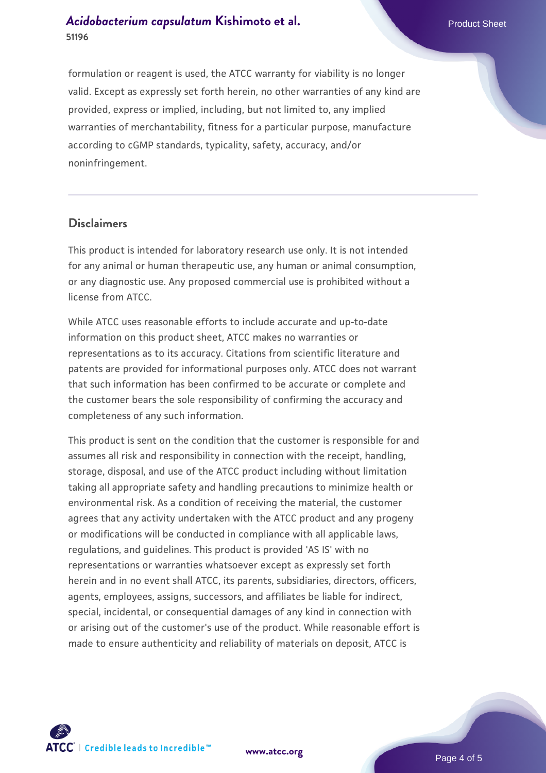formulation or reagent is used, the ATCC warranty for viability is no longer valid. Except as expressly set forth herein, no other warranties of any kind are provided, express or implied, including, but not limited to, any implied warranties of merchantability, fitness for a particular purpose, manufacture according to cGMP standards, typicality, safety, accuracy, and/or noninfringement.

### **Disclaimers**

This product is intended for laboratory research use only. It is not intended for any animal or human therapeutic use, any human or animal consumption, or any diagnostic use. Any proposed commercial use is prohibited without a license from ATCC.

While ATCC uses reasonable efforts to include accurate and up-to-date information on this product sheet, ATCC makes no warranties or representations as to its accuracy. Citations from scientific literature and patents are provided for informational purposes only. ATCC does not warrant that such information has been confirmed to be accurate or complete and the customer bears the sole responsibility of confirming the accuracy and completeness of any such information.

This product is sent on the condition that the customer is responsible for and assumes all risk and responsibility in connection with the receipt, handling, storage, disposal, and use of the ATCC product including without limitation taking all appropriate safety and handling precautions to minimize health or environmental risk. As a condition of receiving the material, the customer agrees that any activity undertaken with the ATCC product and any progeny or modifications will be conducted in compliance with all applicable laws, regulations, and guidelines. This product is provided 'AS IS' with no representations or warranties whatsoever except as expressly set forth herein and in no event shall ATCC, its parents, subsidiaries, directors, officers, agents, employees, assigns, successors, and affiliates be liable for indirect, special, incidental, or consequential damages of any kind in connection with or arising out of the customer's use of the product. While reasonable effort is made to ensure authenticity and reliability of materials on deposit, ATCC is



**[www.atcc.org](http://www.atcc.org)**

Page 4 of 5